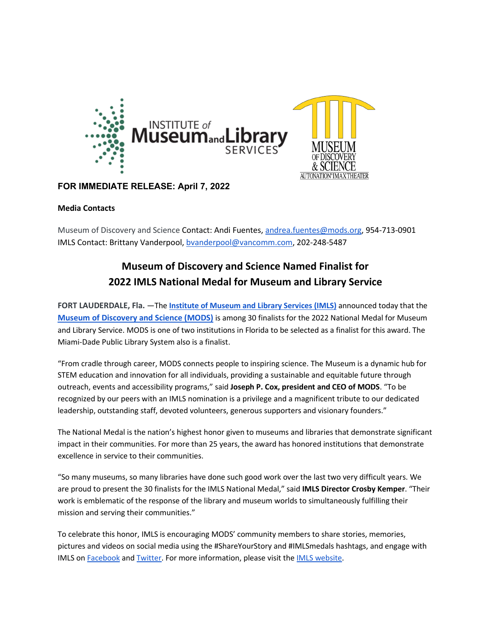

## **FOR IMMEDIATE RELEASE: April 7, 2022**

### **Media Contacts**

Museum of Discovery and Science Contact: Andi Fuentes[, andrea.fuentes@mods.org,](mailto:andrea.fuentes@mods.org) 954-713-0901 IMLS Contact: Brittany Vanderpool, [bvanderpool@vancomm.com,](mailto:bvanderpool@vancomm.com) 202-248-5487

# **Museum of Discovery and Science Named Finalist for 2022 IMLS National Medal for Museum and Library Service**

**FORT LAUDERDALE, Fla.** —The **[Institute of Museum and Library Services \(IMLS\)](https://www.imls.gov/our-work/national-medal-museum-and-library-service)** announced today that the **[Museum of Discovery and Science \(MODS\)](http://www.mods.org/)** is among 30 finalists for the 2022 National Medal for Museum and Library Service. MODS is one of two institutions in Florida to be selected as a finalist for this award. The Miami-Dade Public Library System also is a finalist.

"From cradle through career, MODS connects people to inspiring science. The Museum is a dynamic hub for STEM education and innovation for all individuals, providing a sustainable and equitable future through outreach, events and accessibility programs," said **Joseph P. Cox, president and CEO of MODS**. "To be recognized by our peers with an IMLS nomination is a privilege and a magnificent tribute to our dedicated leadership, outstanding staff, devoted volunteers, generous supporters and visionary founders."

The National Medal is the nation's highest honor given to museums and libraries that demonstrate significant impact in their communities. For more than 25 years, the award has honored institutions that demonstrate excellence in service to their communities.

"So many museums, so many libraries have done such good work over the last two very difficult years. We are proud to present the 30 finalists for the IMLS National Medal," said **IMLS Director Crosby Kemper**. "Their work is emblematic of the response of the library and museum worlds to simultaneously fulfilling their mission and serving their communities."

To celebrate this honor, IMLS is encouraging MODS' community members to share stories, memories, pictures and videos on social media using the #ShareYourStory and #IMLSmedals hashtags, and engage with IMLS o[n](http://www.facebook.com/USIMLS) [Facebook](http://www.facebook.com/USIMLS) and [Twitter.](http://www.twitter.com/us_imls) For more information, please visit th[e](https://www.imls.gov/issues/national-initiatives/national-medal-museum-and-library-service) [IMLS website.](https://www.imls.gov/issues/national-initiatives/national-medal-museum-and-library-service)